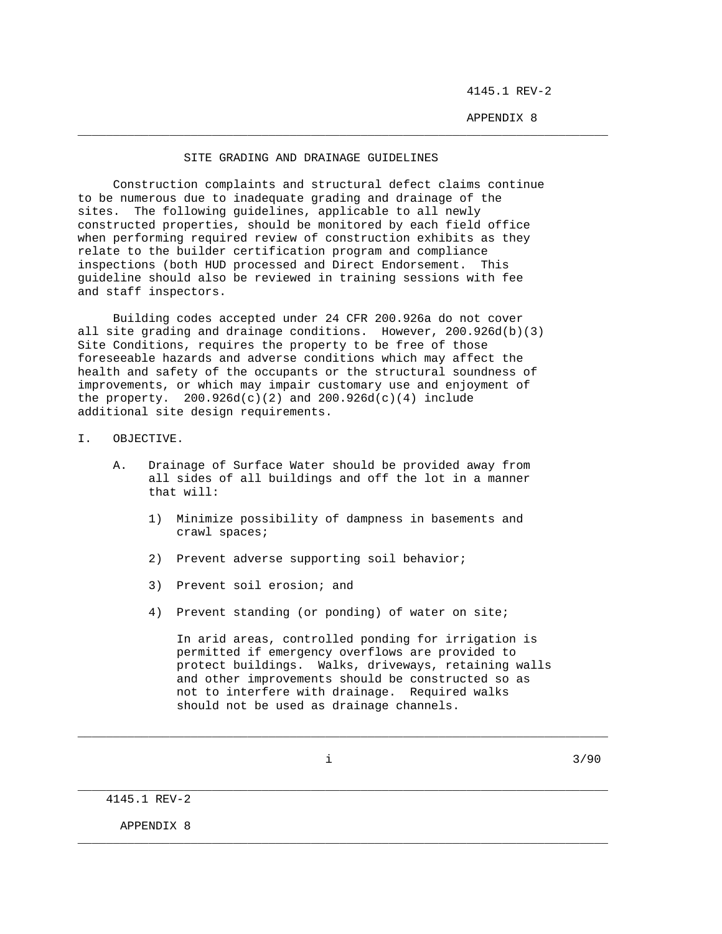4145.1 REV-2

APPENDIX 8

## SITE GRADING AND DRAINAGE GUIDELINES

\_\_\_\_\_\_\_\_\_\_\_\_\_\_\_\_\_\_\_\_\_\_\_\_\_\_\_\_\_\_\_\_\_\_\_\_\_\_\_\_\_\_\_\_\_\_\_\_\_\_\_\_\_\_\_\_\_\_\_\_\_\_\_\_\_\_\_\_\_\_\_\_\_\_\_

 Construction complaints and structural defect claims continue to be numerous due to inadequate grading and drainage of the sites. The following guidelines, applicable to all newly constructed properties, should be monitored by each field office when performing required review of construction exhibits as they relate to the builder certification program and compliance inspections (both HUD processed and Direct Endorsement. This guideline should also be reviewed in training sessions with fee and staff inspectors.

 Building codes accepted under 24 CFR 200.926a do not cover all site grading and drainage conditions. However, 200.926d(b)(3) Site Conditions, requires the property to be free of those foreseeable hazards and adverse conditions which may affect the health and safety of the occupants or the structural soundness of improvements, or which may impair customary use and enjoyment of the property.  $200.926d(c)(2)$  and  $200.926d(c)(4)$  include additional site design requirements.

I. OBJECTIVE.

- A. Drainage of Surface Water should be provided away from all sides of all buildings and off the lot in a manner that will:
	- 1) Minimize possibility of dampness in basements and crawl spaces;
	- 2) Prevent adverse supporting soil behavior;
	- 3) Prevent soil erosion; and
	- 4) Prevent standing (or ponding) of water on site;

 In arid areas, controlled ponding for irrigation is permitted if emergency overflows are provided to protect buildings. Walks, driveways, retaining walls and other improvements should be constructed so as not to interfere with drainage. Required walks should not be used as drainage channels.

\_\_\_\_\_\_\_\_\_\_\_\_\_\_\_\_\_\_\_\_\_\_\_\_\_\_\_\_\_\_\_\_\_\_\_\_\_\_\_\_\_\_\_\_\_\_\_\_\_\_\_\_\_\_\_\_\_\_\_\_\_\_\_\_\_\_\_\_\_\_\_\_\_\_\_

\_\_\_\_\_\_\_\_\_\_\_\_\_\_\_\_\_\_\_\_\_\_\_\_\_\_\_\_\_\_\_\_\_\_\_\_\_\_\_\_\_\_\_\_\_\_\_\_\_\_\_\_\_\_\_\_\_\_\_\_\_\_\_\_\_\_\_\_\_\_\_\_\_\_\_

\_\_\_\_\_\_\_\_\_\_\_\_\_\_\_\_\_\_\_\_\_\_\_\_\_\_\_\_\_\_\_\_\_\_\_\_\_\_\_\_\_\_\_\_\_\_\_\_\_\_\_\_\_\_\_\_\_\_\_\_\_\_\_\_\_\_\_\_\_\_\_\_\_\_\_

 $i$  3/90

4145.1 REV-2

APPENDIX 8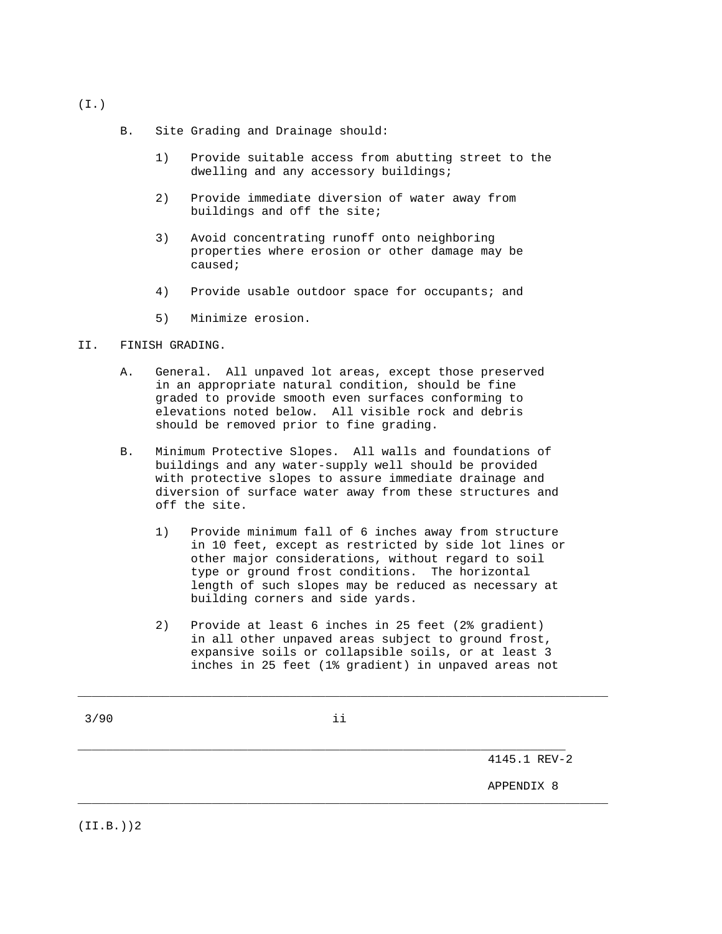- B. Site Grading and Drainage should:
	- 1) Provide suitable access from abutting street to the dwelling and any accessory buildings;
	- 2) Provide immediate diversion of water away from buildings and off the site;
	- 3) Avoid concentrating runoff onto neighboring properties where erosion or other damage may be caused;
	- 4) Provide usable outdoor space for occupants; and
	- 5) Minimize erosion.

## II. FINISH GRADING.

- A. General. All unpaved lot areas, except those preserved in an appropriate natural condition, should be fine graded to provide smooth even surfaces conforming to elevations noted below. All visible rock and debris should be removed prior to fine grading.
- B. Minimum Protective Slopes. All walls and foundations of buildings and any water-supply well should be provided with protective slopes to assure immediate drainage and diversion of surface water away from these structures and off the site.
	- 1) Provide minimum fall of 6 inches away from structure in 10 feet, except as restricted by side lot lines or other major considerations, without regard to soil type or ground frost conditions. The horizontal length of such slopes may be reduced as necessary at building corners and side yards.
	- 2) Provide at least 6 inches in 25 feet (2% gradient) in all other unpaved areas subject to ground frost, expansive soils or collapsible soils, or at least 3 inches in 25 feet (1% gradient) in unpaved areas not

\_\_\_\_\_\_\_\_\_\_\_\_\_\_\_\_\_\_\_\_\_\_\_\_\_\_\_\_\_\_\_\_\_\_\_\_\_\_\_\_\_\_\_\_\_\_\_\_\_\_\_\_\_\_\_\_\_\_\_\_\_\_\_\_\_\_\_\_\_

\_\_\_\_\_\_\_\_\_\_\_\_\_\_\_\_\_\_\_\_\_\_\_\_\_\_\_\_\_\_\_\_\_\_\_\_\_\_\_\_\_\_\_\_\_\_\_\_\_\_\_\_\_\_\_\_\_\_\_\_\_\_\_\_\_\_\_\_\_\_\_\_\_\_\_

\_\_\_\_\_\_\_\_\_\_\_\_\_\_\_\_\_\_\_\_\_\_\_\_\_\_\_\_\_\_\_\_\_\_\_\_\_\_\_\_\_\_\_\_\_\_\_\_\_\_\_\_\_\_\_\_\_\_\_\_\_\_\_\_\_\_\_\_\_\_\_\_\_\_\_

4145.1 REV-2

APPENDIX 8

(I.)

(II.B.))2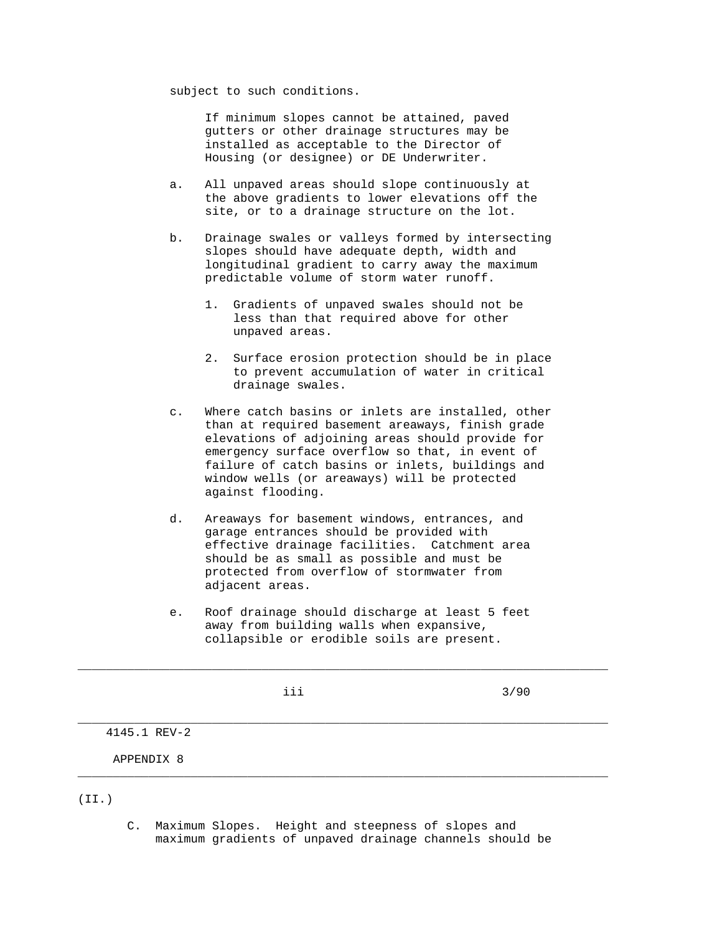subject to such conditions.

 If minimum slopes cannot be attained, paved gutters or other drainage structures may be installed as acceptable to the Director of Housing (or designee) or DE Underwriter.

- a. All unpaved areas should slope continuously at the above gradients to lower elevations off the site, or to a drainage structure on the lot.
- b. Drainage swales or valleys formed by intersecting slopes should have adequate depth, width and longitudinal gradient to carry away the maximum predictable volume of storm water runoff.
	- 1. Gradients of unpaved swales should not be less than that required above for other unpaved areas.
	- 2. Surface erosion protection should be in place to prevent accumulation of water in critical drainage swales.
- c. Where catch basins or inlets are installed, other than at required basement areaways, finish grade elevations of adjoining areas should provide for emergency surface overflow so that, in event of failure of catch basins or inlets, buildings and window wells (or areaways) will be protected against flooding.
- d. Areaways for basement windows, entrances, and garage entrances should be provided with effective drainage facilities. Catchment area should be as small as possible and must be protected from overflow of stormwater from adjacent areas.
- e. Roof drainage should discharge at least 5 feet away from building walls when expansive, collapsible or erodible soils are present.

| $1111 - 121 = -22$ |     |      |
|--------------------|-----|------|
|                    |     |      |
|                    |     |      |
|                    |     |      |
|                    | iii | 3/90 |
|                    |     |      |
|                    |     |      |
|                    |     |      |

\_\_\_\_\_\_\_\_\_\_\_\_\_\_\_\_\_\_\_\_\_\_\_\_\_\_\_\_\_\_\_\_\_\_\_\_\_\_\_\_\_\_\_\_\_\_\_\_\_\_\_\_\_\_\_\_\_\_\_\_\_\_\_\_\_\_\_\_\_\_\_\_\_\_\_

\_\_\_\_\_\_\_\_\_\_\_\_\_\_\_\_\_\_\_\_\_\_\_\_\_\_\_\_\_\_\_\_\_\_\_\_\_\_\_\_\_\_\_\_\_\_\_\_\_\_\_\_\_\_\_\_\_\_\_\_\_\_\_\_\_\_\_\_\_\_\_\_\_\_\_

4145.1 REV-2

APPENDIX 8

## (II.)

 C. Maximum Slopes. Height and steepness of slopes and maximum gradients of unpaved drainage channels should be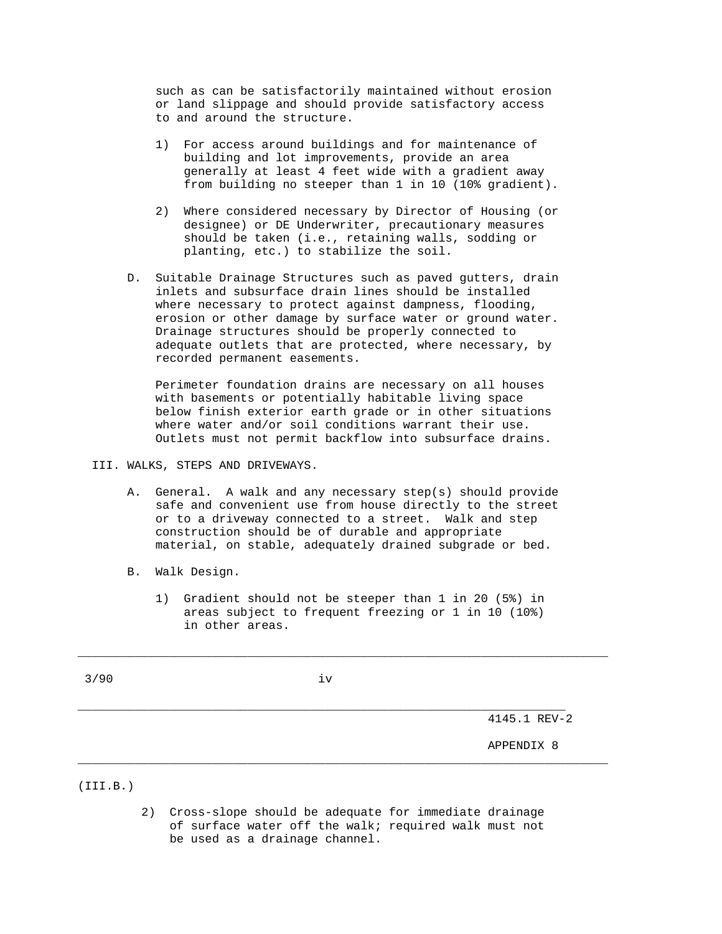such as can be satisfactorily maintained without erosion or land slippage and should provide satisfactory access to and around the structure.

- 1) For access around buildings and for maintenance of building and lot improvements, provide an area generally at least 4 feet wide with a gradient away from building no steeper than 1 in 10 (10% gradient).
- 2) Where considered necessary by Director of Housing (or designee) or DE Underwriter, precautionary measures should be taken (i.e., retaining walls, sodding or planting, etc.) to stabilize the soil.
- D. Suitable Drainage Structures such as paved gutters, drain inlets and subsurface drain lines should be installed where necessary to protect against dampness, flooding, erosion or other damage by surface water or ground water. Drainage structures should be properly connected to adequate outlets that are protected, where necessary, by recorded permanent easements.

 Perimeter foundation drains are necessary on all houses with basements or potentially habitable living space below finish exterior earth grade or in other situations where water and/or soil conditions warrant their use. Outlets must not permit backflow into subsurface drains.

## III. WALKS, STEPS AND DRIVEWAYS.

- A. General. A walk and any necessary step(s) should provide safe and convenient use from house directly to the street or to a driveway connected to a street. Walk and step construction should be of durable and appropriate material, on stable, adequately drained subgrade or bed.
- B. Walk Design.
	- 1) Gradient should not be steeper than 1 in 20 (5%) in areas subject to frequent freezing or 1 in 10 (10%) in other areas.

\_\_\_\_\_\_\_\_\_\_\_\_\_\_\_\_\_\_\_\_\_\_\_\_\_\_\_\_\_\_\_\_\_\_\_\_\_\_\_\_\_\_\_\_\_\_\_\_\_\_\_\_\_\_\_\_\_\_\_\_\_\_\_\_\_\_\_\_\_\_\_\_\_\_\_

 $3/90$  iv

\_\_\_\_\_\_\_\_\_\_\_\_\_\_\_\_\_\_\_\_\_\_\_\_\_\_\_\_\_\_\_\_\_\_\_\_\_\_\_\_\_\_\_\_\_\_\_\_\_\_\_\_\_\_\_\_\_\_\_\_\_\_\_\_\_\_\_\_\_

4145.1 REV-2

APPENDIX 8

(III.B.)

 2) Cross-slope should be adequate for immediate drainage of surface water off the walk; required walk must not be used as a drainage channel.

\_\_\_\_\_\_\_\_\_\_\_\_\_\_\_\_\_\_\_\_\_\_\_\_\_\_\_\_\_\_\_\_\_\_\_\_\_\_\_\_\_\_\_\_\_\_\_\_\_\_\_\_\_\_\_\_\_\_\_\_\_\_\_\_\_\_\_\_\_\_\_\_\_\_\_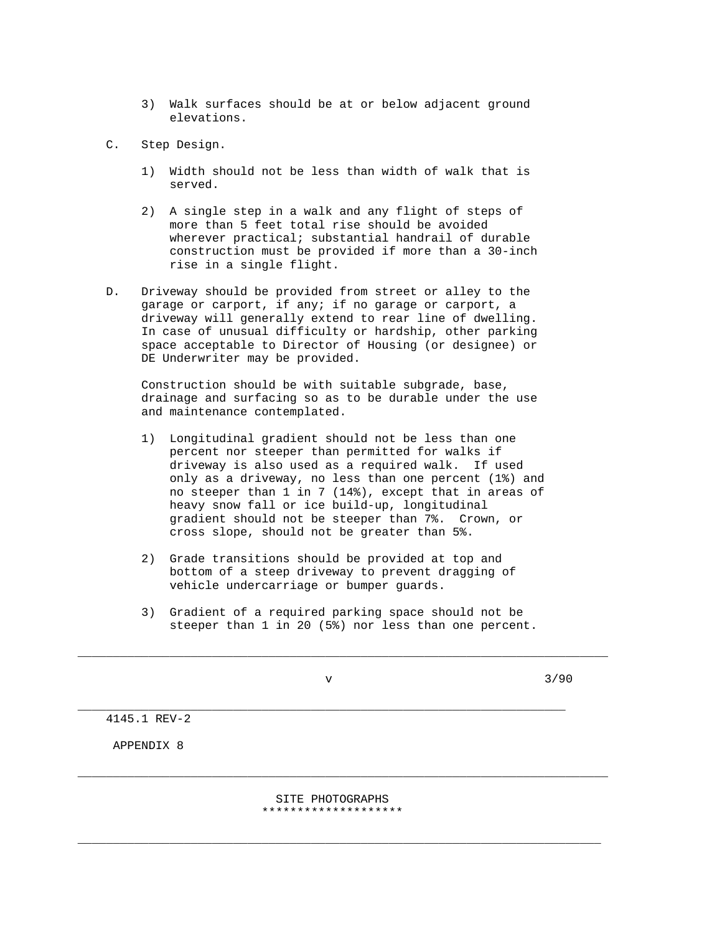3) Walk surfaces should be at or below adjacent ground elevations.

C. Step Design.

- 1) Width should not be less than width of walk that is served.
- 2) A single step in a walk and any flight of steps of more than 5 feet total rise should be avoided wherever practical; substantial handrail of durable construction must be provided if more than a 30-inch rise in a single flight.
- D. Driveway should be provided from street or alley to the garage or carport, if any; if no garage or carport, a driveway will generally extend to rear line of dwelling. In case of unusual difficulty or hardship, other parking space acceptable to Director of Housing (or designee) or DE Underwriter may be provided.

 Construction should be with suitable subgrade, base, drainage and surfacing so as to be durable under the use and maintenance contemplated.

- 1) Longitudinal gradient should not be less than one percent nor steeper than permitted for walks if driveway is also used as a required walk. If used only as a driveway, no less than one percent (1%) and no steeper than 1 in 7 (14%), except that in areas of heavy snow fall or ice build-up, longitudinal gradient should not be steeper than 7%. Crown, or cross slope, should not be greater than 5%.
- 2) Grade transitions should be provided at top and bottom of a steep driveway to prevent dragging of vehicle undercarriage or bumper guards.
- 3) Gradient of a required parking space should not be steeper than 1 in 20 (5%) nor less than one percent.

\_\_\_\_\_\_\_\_\_\_\_\_\_\_\_\_\_\_\_\_\_\_\_\_\_\_\_\_\_\_\_\_\_\_\_\_\_\_\_\_\_\_\_\_\_\_\_\_\_\_\_\_\_\_\_\_\_\_\_\_\_\_\_\_\_\_\_\_\_\_\_\_\_\_\_

\_\_\_\_\_\_\_\_\_\_\_\_\_\_\_\_\_\_\_\_\_\_\_\_\_\_\_\_\_\_\_\_\_\_\_\_\_\_\_\_\_\_\_\_\_\_\_\_\_\_\_\_\_\_\_\_\_\_\_\_\_\_\_\_\_\_\_\_\_

 $\sqrt{3/90}$ 

4145.1 REV-2

APPENDIX 8

 SITE PHOTOGRAPHS \*\*\*\*\*\*\*\*\*\*\*\*\*\*\*\*\*\*\*\*

\_\_\_\_\_\_\_\_\_\_\_\_\_\_\_\_\_\_\_\_\_\_\_\_\_\_\_\_\_\_\_\_\_\_\_\_\_\_\_\_\_\_\_\_\_\_\_\_\_\_\_\_\_\_\_\_\_\_\_\_\_\_\_\_\_\_\_\_\_\_\_\_\_\_

\_\_\_\_\_\_\_\_\_\_\_\_\_\_\_\_\_\_\_\_\_\_\_\_\_\_\_\_\_\_\_\_\_\_\_\_\_\_\_\_\_\_\_\_\_\_\_\_\_\_\_\_\_\_\_\_\_\_\_\_\_\_\_\_\_\_\_\_\_\_\_\_\_\_\_